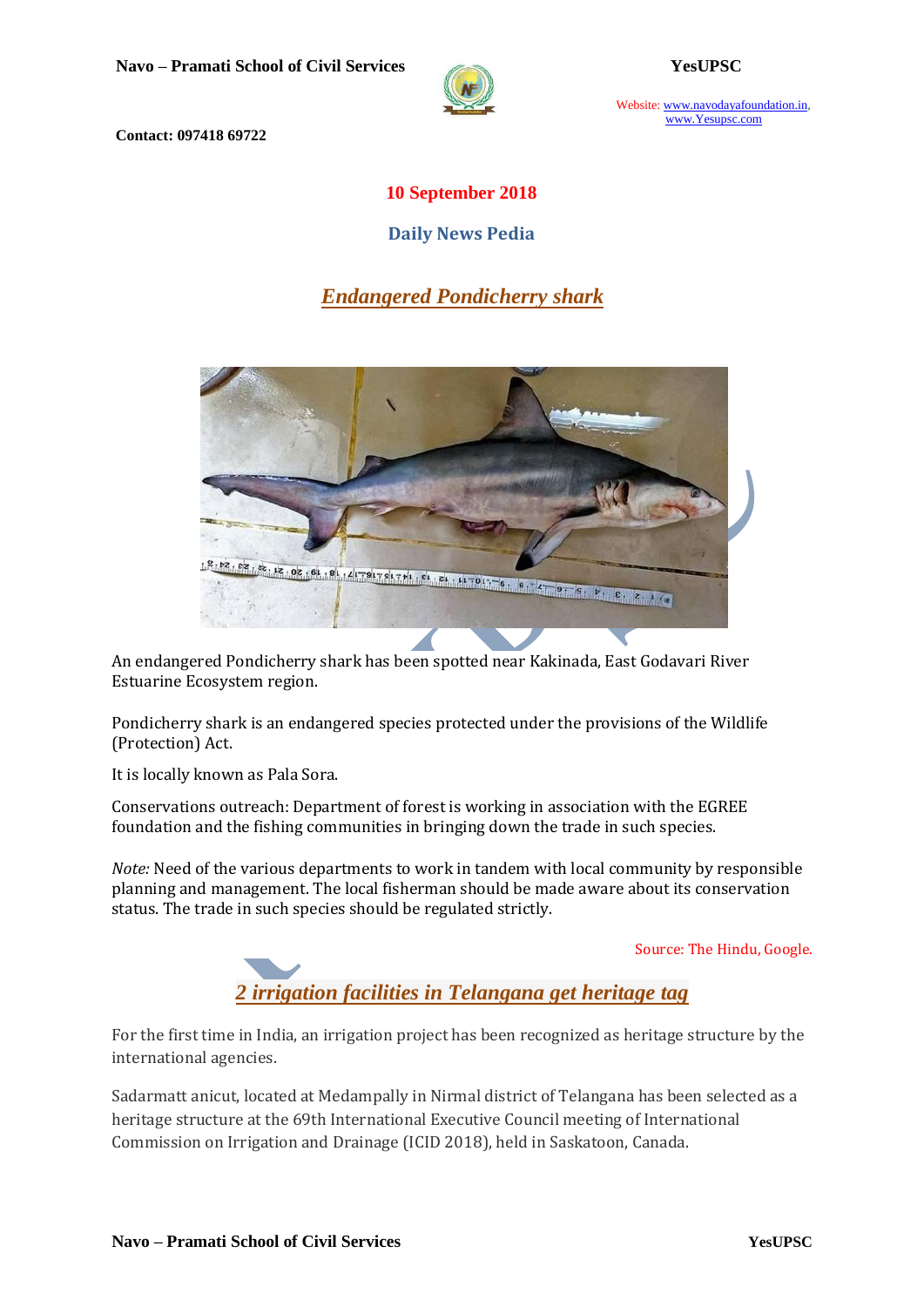

Website: www.navodayafoundation.in, www.Yesupsc.com

**Contact: 097418 69722**

## **10 September 2018**

**Daily News Pedia**

# *Endangered Pondicherry shark*



An endangered Pondicherry shark has been spotted near Kakinada, East Godavari River Estuarine Ecosystem region.

Pondicherry shark is an endangered species protected under the provisions of the Wildlife (Protection) Act.

It is locally known as Pala Sora.

Conservations outreach: Department of forest is working in association with the EGREE foundation and the fishing communities in bringing down the trade in such species.

*Note:* Need of the various departments to work in tandem with local community by responsible planning and management. The local fisherman should be made aware about its conservation status. The trade in such species should be regulated strictly.

Source: The Hindu, Google.



For the first time in India, an irrigation project has been recognized as heritage structure by the international agencies.

[Sadarmatt anicut,](https://timesofindia.indiatimes.com/topic/Sadarmatt-anicut) located at Medampally in Nirmal district of [Telangana](https://timesofindia.indiatimes.com/topic/Telangana) has been selected as a heritage structure at the 69th International Executive Council meeting of International Commission on Irrigation and Drainage (ICID 2018), held in [Saskatoon,](https://timesofindia.indiatimes.com/topic/Saskatoon) Canada.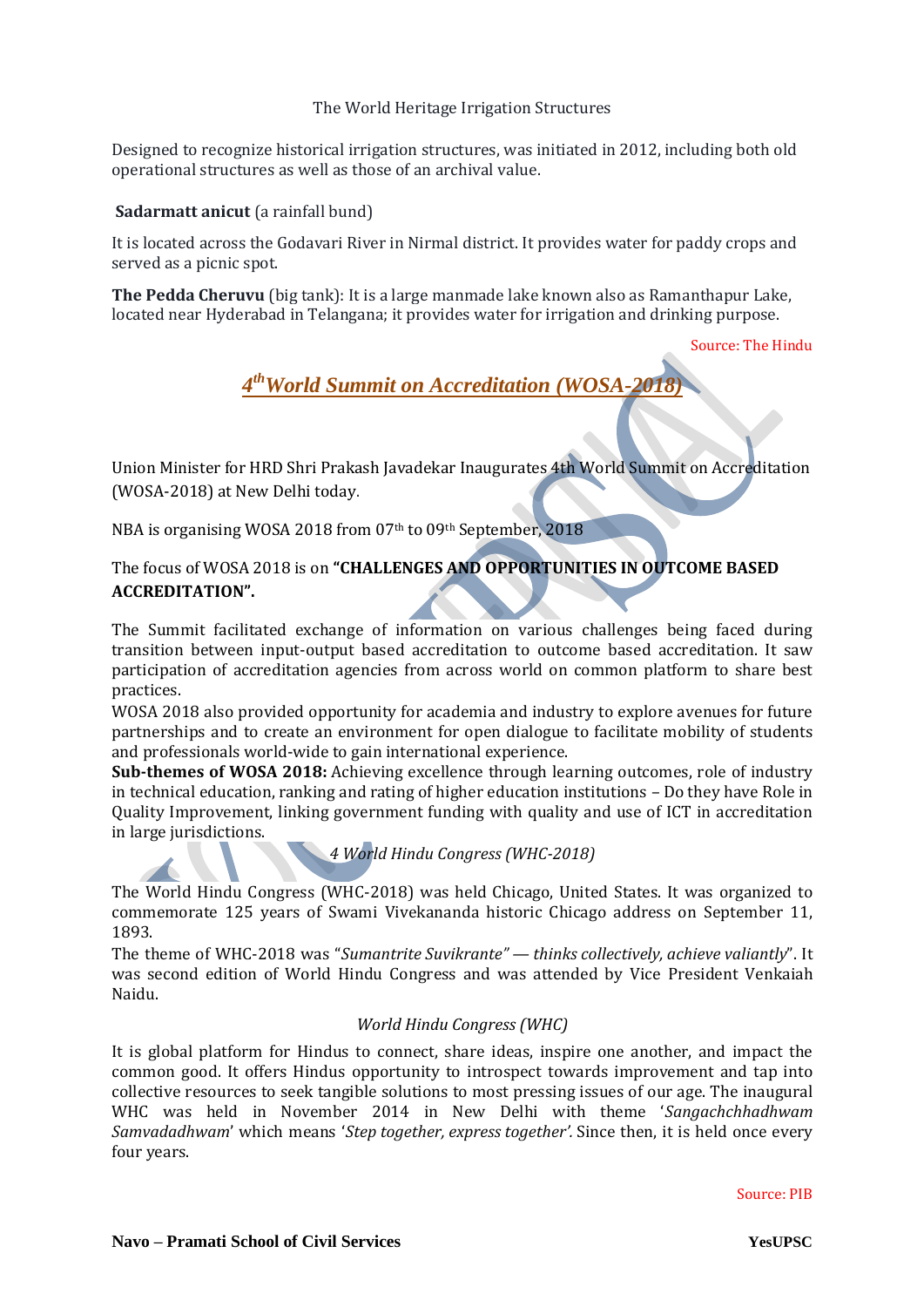## The World Heritage Irrigation Structures

Designed to recognize historical irrigation structures, was initiated in 2012, including both old operational structures as well as those of an archival value.

## **Sadarmatt anicut** (a rainfall bund)

It is located across the Godavari River in Nirmal district. It provides water for paddy crops and served as a picnic spot.

**The Pedda Cheruvu** (big tank): It is a large manmade lake known also as Ramanthapur Lake, located near Hyderabad in Telangana; it provides water for irrigation and drinking purpose.

Source: The Hindu

*4 thWorld Summit on Accreditation (WOSA-2018)*

Union Minister for HRD Shri Prakash Javadekar Inaugurates 4th World Summit on Accreditation (WOSA-2018) at New Delhi today.

NBA is organising WOSA 2018 from 07th to 09th September, 2018

## The focus of WOSA 2018 is on **"CHALLENGES AND OPPORTUNITIES IN OUTCOME BASED ACCREDITATION".**

The Summit facilitated exchange of information on various challenges being faced during transition between input-output based accreditation to outcome based accreditation. It saw participation of accreditation agencies from across world on common platform to share best practices.

WOSA 2018 also provided opportunity for academia and industry to explore avenues for future partnerships and to create an environment for open dialogue to facilitate mobility of students and professionals world-wide to gain international experience.

**Sub-themes of WOSA 2018:** Achieving excellence through learning outcomes, role of industry in technical education, ranking and rating of higher education institutions – Do they have Role in Quality Improvement, linking government funding with quality and use of ICT in accreditation in large jurisdictions.

*4 World Hindu Congress (WHC-2018)*

The World Hindu Congress (WHC-2018) was held Chicago, United States. It was organized to commemorate 125 years of Swami Vivekananda historic Chicago address on September 11, 1893.

The theme of WHC-2018 was "*Sumantrite Suvikrante" — thinks collectively, achieve valiantly*". It was second edition of World Hindu Congress and was attended by Vice President Venkaiah Naidu.

## *World Hindu Congress (WHC)*

It is global platform for Hindus to connect, share ideas, inspire one another, and impact the common good. It offers Hindus opportunity to introspect towards improvement and tap into collective resources to seek tangible solutions to most pressing issues of our age. The inaugural WHC was held in November 2014 in New Delhi with theme '*Sangachchhadhwam Samvadadhwam*' which means '*Step together, express together'.* Since then, it is held once every four years.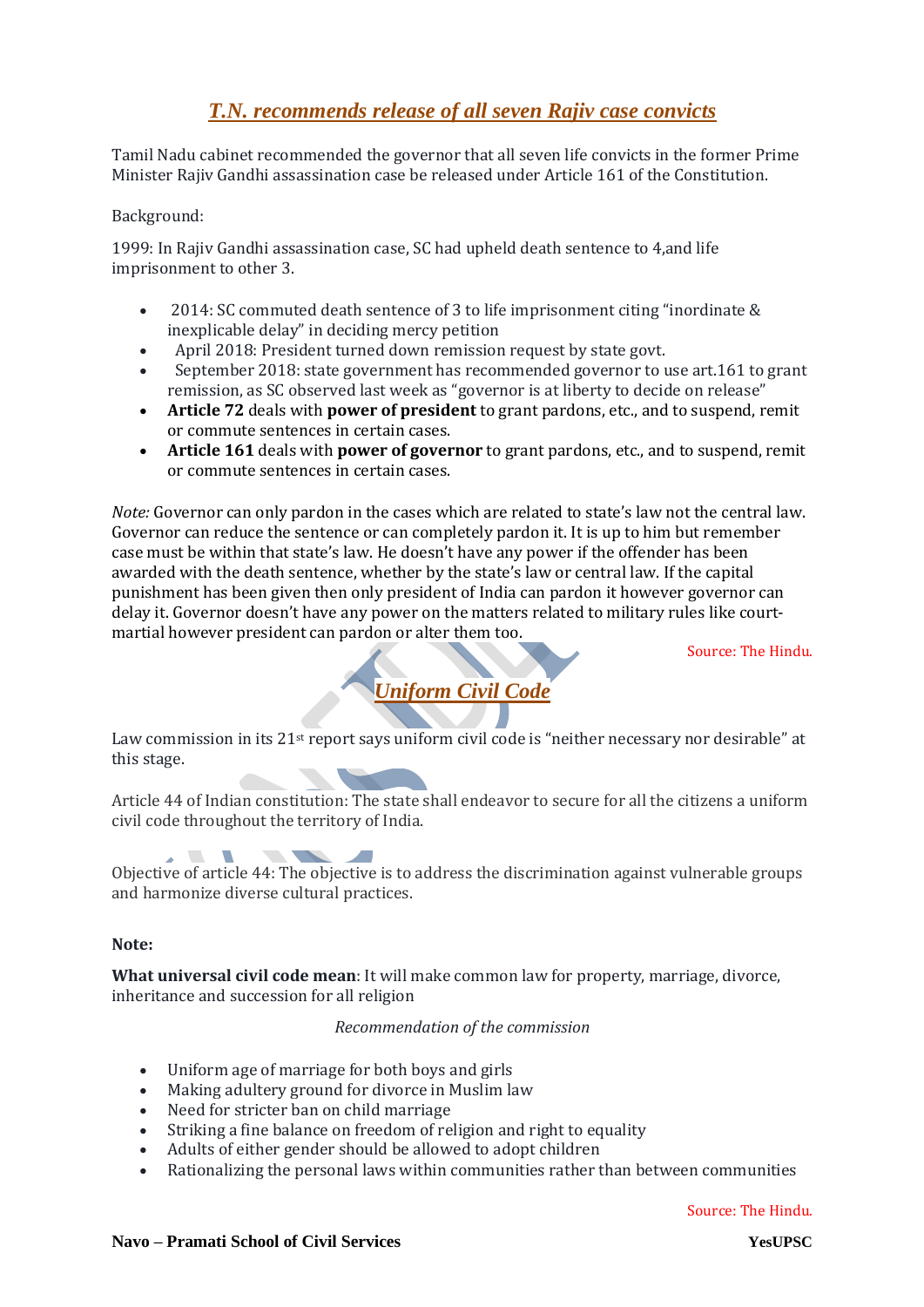# *[T.N. recommends release of all seven Rajiv case convicts](https://www.thehindu.com/news/national/tamil-nadu/tamil-nadu-cabinet-recommends-release-of-rajiv-gandhi-assassination-case-convicts/article24908642.ece)*

Tamil Nadu cabinet recommended the governor that all seven life convicts in the former Prime Minister Rajiv Gandhi assassination case be released under Article 161 of the Constitution.

## Background:

1999: In Rajiv Gandhi assassination case, SC had upheld death sentence to 4,and life imprisonment to other 3.

- 2014: SC commuted death sentence of 3 to life imprisonment citing "inordinate & inexplicable delay" in deciding mercy petition
- April 2018: President turned down remission request by state govt.
- September 2018: state government has recommended governor to use art.161 to grant remission, as SC observed last week as "governor is at liberty to decide on release"
- **Article 72** deals with **power of president** to grant pardons, etc., and to suspend, remit or commute sentences in certain cases.
- **Article 161** deals with **power of governor** to grant pardons, etc., and to suspend, remit or commute sentences in certain cases.

*Note:* Governor can only pardon in the cases which are related to state's law not the central law. Governor can reduce the sentence or can completely pardon it. It is up to him but remember case must be within that state's law. He doesn't have any power if the offender has been awarded with the death sentence, whether by the state's law or central law. If the capital punishment has been given then only president of India can pardon it however governor can delay it. Governor doesn't have any power on the matters related to military rules like courtmartial however president can pardon or alter them too.

Source: The Hindu.

# *Uniform Civil Code*

Law commission in its 21<sup>st</sup> report says uniform civil code is "neither necessary nor desirable" at this stage.

Article 44 of Indian constitution: The state shall endeavor to secure for all the citizens a uniform civil code throughout the territory of India.

**The State of Street**  $\sqrt{2}$ Objective of article 44: The objective is to address the discrimination against vulnerable groups and harmonize diverse cultural practices.

#### **Note:**

**What universal civil code mean**: It will make common law for property, marriage, divorce, inheritance and succession for all religion

#### *Recommendation of the commission*

- Uniform age of marriage for both boys and girls
- Making adultery ground for divorce in Muslim law
- Need for stricter ban on child marriage
- Striking a fine balance on freedom of religion and right to equality
- Adults of either gender should be allowed to adopt children
- Rationalizing the personal laws within communities rather than between communities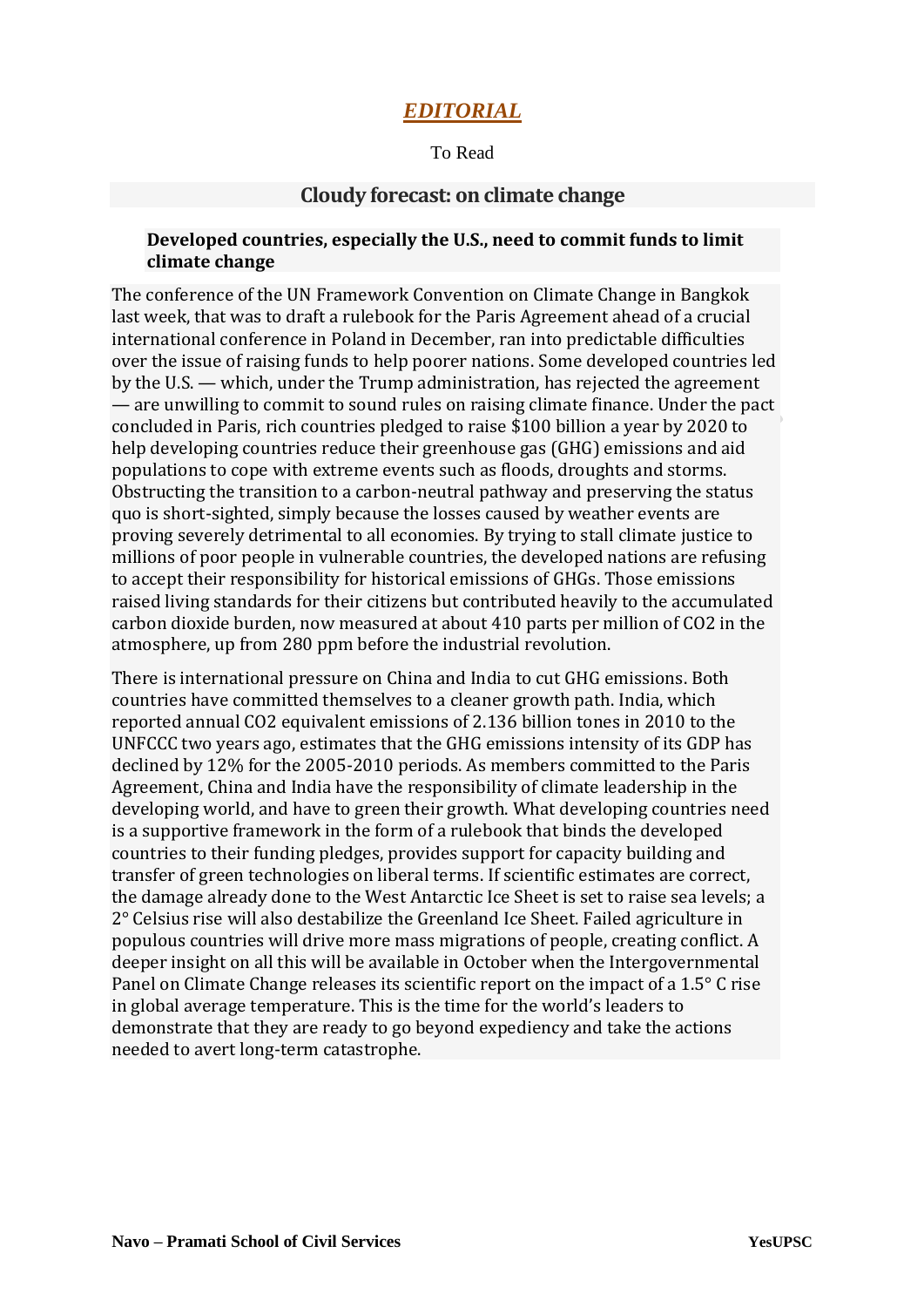## *EDITORIAL*

To Read

## **Cloudy forecast: on climate change**

## **Developed countries, especially the U.S., need to commit funds to limit climate change**

The conference of the UN Framework Convention on Climate Change in Bangkok last week, that was to draft a rulebook for the Paris Agreement ahead of a crucial international conference in [Poland](https://www.thehindu.com/tag/378-244/poland/?utm=bodytag) in December, ran into predictable difficulties over the issue of raising funds to help poorer nations. Some developed countries led by the U.S. — which, under the Trump administration, has rejected the agreement — are unwilling to commit to sound rules on raising climate finance. Under the pact concluded in Paris, rich countries pledged to raise \$100 billion a year by 2020 to help developing countries reduce their greenhouse gas (GHG) emissions and aid populations to cope with extreme events such as floods, droughts and storms. Obstructing the transition to a carbon-neutral pathway and preserving the status quo is short-sighted, simply because the losses caused by weather events are proving severely detrimental to all economies. By trying to stall climate justice to millions of poor people in vulnerable countries, the developed nations are refusing to accept their responsibility for historical emissions of GHGs. Those emissions raised living standards for their citizens but contributed heavily to the accumulated carbon dioxide burden, now measured at about 410 parts per million of CO2 in the atmosphere, up from 280 ppm before the industrial revolution.

There is international pressure on China and India to cut GHG emissions. Both countries have committed themselves to a cleaner growth path. India, which reported annual CO2 equivalent emissions of 2.136 billion tones in 2010 to the UNFCCC two years ago, estimates that the GHG emissions intensity of its GDP has declined by 12% for the 2005-2010 periods. As members committed to the Paris Agreement, China and India have the responsibility of climate leadership in the developing world, and have to green their growth. What developing countries need is a supportive framework in the form of a rulebook that binds the developed countries to their funding pledges, provides support for capacity building and transfer of green technologies on liberal terms. If scientific estimates are correct, the damage already done to the West Antarctic Ice Sheet is set to raise sea levels; a 2° Celsius rise will also destabilize the [Greenland](https://www.thehindu.com/tag/316-244/greenland/?utm=bodytag) Ice Sheet. Failed agriculture in populous countries will drive more mass migrations of people, creating conflict. A deeper insight on all this will be available in October when the Intergovernmental Panel on Climate Change releases its scientific report on the impact of a 1.5° C rise in global average temperature. This is the time for the world's leaders to demonstrate that they are ready to go beyond expediency and take the actions needed to avert long-term catastrophe.